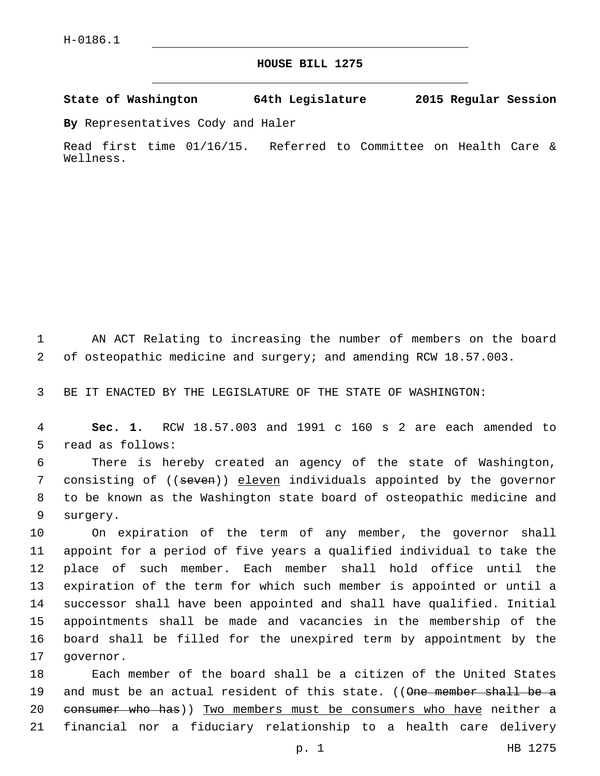## **HOUSE BILL 1275**

**State of Washington 64th Legislature 2015 Regular Session**

**By** Representatives Cody and Haler

Read first time 01/16/15. Referred to Committee on Health Care & Wellness.

1 AN ACT Relating to increasing the number of members on the board 2 of osteopathic medicine and surgery; and amending RCW 18.57.003.

3 BE IT ENACTED BY THE LEGISLATURE OF THE STATE OF WASHINGTON:

4 **Sec. 1.** RCW 18.57.003 and 1991 c 160 s 2 are each amended to 5 read as follows:

6 There is hereby created an agency of the state of Washington, 7 consisting of ((seven)) eleven individuals appointed by the governor 8 to be known as the Washington state board of osteopathic medicine and 9 surgery.

 On expiration of the term of any member, the governor shall appoint for a period of five years a qualified individual to take the place of such member. Each member shall hold office until the expiration of the term for which such member is appointed or until a successor shall have been appointed and shall have qualified. Initial appointments shall be made and vacancies in the membership of the board shall be filled for the unexpired term by appointment by the 17 governor.

18 Each member of the board shall be a citizen of the United States 19 and must be an actual resident of this state. ((One member shall be a 20 consumer who has)) Two members must be consumers who have neither a 21 financial nor a fiduciary relationship to a health care delivery